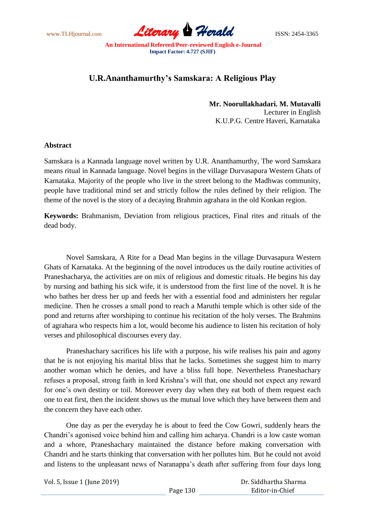www.TLHjournal.com **Literary Herald Herald** ISSN: 2454-3365

## **U.R.Ananthamurthy's Samskara: A Religious Play**

**Mr. Noorullakhadari. M. Mutavalli** Lecturer in English K.U.P.G. Centre Haveri, Karnataka

## **Abstract**

Samskara is a Kannada language novel written by U.R. Ananthamurthy, The word Samskara means ritual in Kannada language. Novel begins in the village Durvasapura Western Ghats of Karnataka. Majority of the people who live in the street belong to the Madhwas community, people have traditional mind set and strictly follow the rules defined by their religion. The theme of the novel is the story of a decaying Brahmin agrahara in the old Konkan region.

**Keywords:** Brahmanism, Deviation from religious practices, Final rites and rituals of the dead body.

Novel Samskara, A Rite for a Dead Man begins in the village Durvasapura Western Ghats of Karnataka. At the beginning of the novel introduces us the daily routine activities of Praneshacharya, the activities are on mix of religious and domestic rituals. He begins his day by nursing and bathing his sick wife, it is understood from the first line of the novel. It is he who bathes her dress her up and feeds her with a essential food and administers her regular medicine. Then he crosses a small pond to reach a Maruthi temple which is other side of the pond and returns after worshiping to continue his recitation of the holy verses. The Brahmins of agrahara who respects him a lot, would become his audience to listen his recitation of holy verses and philosophical discourses every day.

Praneshachary sacrifices his life with a purpose, his wife realises his pain and agony that he is not enjoying his marital bliss that he lacks. Sometimes she suggest him to marry another woman which he denies, and have a bliss full hope. Nevertheless Praneshachary refuses a proposal, strong faith in lord Krishna"s will that, one should not expect any reward for one's own destiny or toil. Moreover every day when they eat both of them request each one to eat first, then the incident shows us the mutual love which they have between them and the concern they have each other.

One day as per the everyday he is about to feed the Cow Gowri, suddenly hears the Chandri"s agonised voice behind him and calling him acharya. Chandri is a low caste woman and a whore, Praneshachary maintained the distance before making conversation with Chandri and he starts thinking that conversation with her pollutes him. But he could not avoid and listens to the unpleasant news of Naranappa"s death after suffering from four days long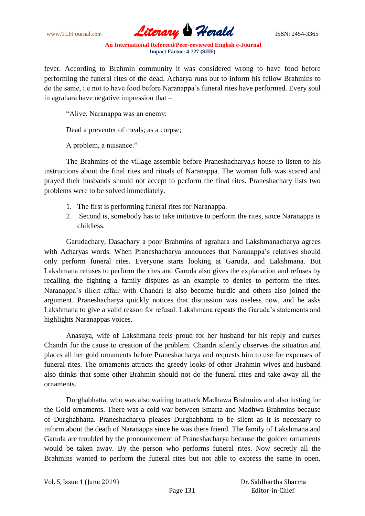www.TLHjournal.com **Literary Herald Herald ISSN: 2454-3365** 

fever. According to Brahmin community it was considered wrong to have food before performing the funeral rites of the dead. Acharya runs out to inform his fellow Brahmins to do the same, i.e not to have food before Naranappa"s funeral rites have performed. Every soul in agrahara have negative impression that –

"Alive, Naranappa was an enemy;

Dead a preventer of meals; as a corpse;

A problem, a nuisance."

The Brahmins of the village assemble before Praneshacharya,s house to listen to his instructions about the final rites and rituals of Naranappa. The woman folk was scared and prayed their husbands should not accept to perform the final rites. Praneshachary lists two problems were to be solved immediately.

- 1. The first is performing funeral rites for Naranappa.
- 2. Second is, somebody has to take initiative to perform the rites, since Naranappa is childless.

Garudachary, Dasachary a poor Brahmins of agrahara and Lakshmanacharya agrees with Acharyas words. When Praneshacharya announces that Naranappa"s relatives should only perform funeral rites. Everyone starts looking at Garuda, and Lakshmana. But Lakshmana refuses to perform the rites and Garuda also gives the explanation and refuses by recalling the fighting a family disputes as an example to denies to perform the rites. Naranappa"s illicit affair with Chandri is also become hurdle and others also joined the argument. Praneshacharya quickly notices that discussion was useless now, and he asks Lakshmana to give a valid reason for refusal. Lakshmana repeats the Garuda"s statements and highlights Naranappas voices.

Anasuya, wife of Lakshmana feels proud for her husband for his reply and curses Chandri for the cause to creation of the problem. Chandri silently observes the situation and places all her gold ornaments before Praneshacharya and requests him to use for expenses of funeral rites. The ornaments attracts the greedy looks of other Brahmin wives and husband also thinks that some other Brahmin should not do the funeral rites and take away all the ornaments.

Durghabhatta, who was also waiting to attack Madhawa Brahmins and also lusting for the Gold ornaments. There was a cold war between Smarta and Madhwa Brahmins because of Durghabhatta. Praneshacharya pleases Durghabhatta to be silent as it is necessary to inform about the death of Naranappa since he was there friend. The family of Lakshmana and Garuda are troubled by the pronouncement of Praneshacharya because the golden ornaments would be taken away. By the person who performs funeral rites. Now secretly all the Brahmins wanted to perform the funeral rites but not able to express the same in open.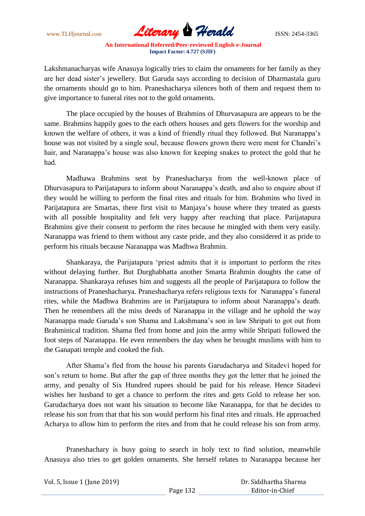www.TLHjournal.com **Literary Herald Herald ISSN: 2454-3365** 

Lakshmanacharyas wife Anasuya logically tries to claim the ornaments for her family as they are her dead sister"s jewellery. But Garuda says according to decision of Dharmastala guru the ornaments should go to him. Praneshacharya silences both of them and request them to give importance to funeral rites not to the gold ornaments.

The place occupied by the houses of Brahmins of Dhurvasapura are appears to be the same. Brahmins happily goes to the each others houses and gets flowers for the worship and known the welfare of others, it was a kind of friendly ritual they followed. But Naranappa"s house was not visited by a single soul, because flowers grown there were ment for Chandri's hair, and Naranappa"s house was also known for keeping snakes to protect the gold that he had.

Madhawa Brahmins sent by Praneshacharya from the well-known place of Dhurvasapura to Parijatapura to inform about Naranappa"s death, and also to enquire about if they would be willing to perform the final rites and rituals for him. Brahmins who lived in Parijatapura are Smartas, there first visit to Manjaya's house where they treated as guests with all possible hospitality and felt very happy after reaching that place. Parijatapura Brahmins give their consent to perform the rites because he mingled with them very easily. Naranappa was friend to them without any caste pride, and they also considered it as pride to perform his rituals because Naranappa was Madhwa Brahmin.

Shankaraya, the Parijatapura "priest admits that it is important to perform the rites without delaying further. But Durghabhatta another Smarta Brahmin doughts the catse of Naranappa. Shankaraya refuses him and suggests all the people of Parijatapura to follow the instructions of Praneshacharya. Praneshacharya refers religious texts for Naranappa's funeral rites, while the Madhwa Brahmins are in Parijatapura to inform about Naranappa"s death. Then he remembers all the miss deeds of Naranappa in the village and he uphold the way Naranappa made Garuda"s son Shama and Lakshmana"s son in law Shripati to got out from Brahminical tradition. Shama fled from home and join the army while Shripati followed the foot steps of Naranappa. He even remembers the day when he brought muslims with him to the Ganapati temple and cooked the fish.

After Shama"s fled from the house his parents Garudacharya and Sitadevi hoped for son"s return to home. But after the gap of three months they got the letter that he joined the army, and penalty of Six Hundred rupees should be paid for his release. Hence Sitadevi wishes her husband to get a chance to perform the rites and gets Gold to release her son. Garudacharya does not want his situation to become like Naranappa, for that he decides to release his son from that that his son would perform his final rites and rituals. He approached Acharya to allow him to perform the rites and from that he could release his son from army.

Praneshachary is busy going to search in holy text to find solution, meanwhile Anasuya also tries to get golden ornaments. She herself relates to Naranappa because her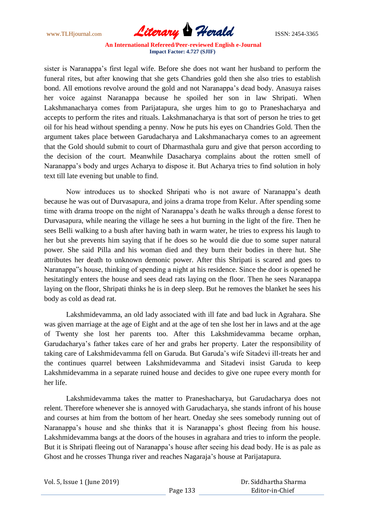www.TLHjournal.com **Literary Herald Herald ISSN: 2454-3365** 

sister is Naranappa"s first legal wife. Before she does not want her husband to perform the funeral rites, but after knowing that she gets Chandries gold then she also tries to establish bond. All emotions revolve around the gold and not Naranappa"s dead body. Anasuya raises her voice against Naranappa because he spoiled her son in law Shripati. When Lakshmanacharya comes from Parijatapura, she urges him to go to Praneshacharya and accepts to perform the rites and rituals. Lakshmanacharya is that sort of person he tries to get oil for his head without spending a penny. Now he puts his eyes on Chandries Gold. Then the argument takes place between Garudacharya and Lakshmanacharya comes to an agreement that the Gold should submit to court of Dharmasthala guru and give that person according to the decision of the court. Meanwhile Dasacharya complains about the rotten smell of Naranappa"s body and urges Acharya to dispose it. But Acharya tries to find solution in holy text till late evening but unable to find.

Now introduces us to shocked Shripati who is not aware of Naranappa"s death because he was out of Durvasapura, and joins a drama trope from Kelur. After spending some time with drama troope on the night of Naranappa"s death he walks through a dense forest to Durvasapura, while nearing the village he sees a hut burning in the light of the fire. Then he sees Belli walking to a bush after having bath in warm water, he tries to express his laugh to her but she prevents him saying that if he does so he would die due to some super natural power. She said Pilla and his woman died and they burn their bodies in there hut. She attributes her death to unknown demonic power. After this Shripati is scared and goes to Naranappa"s house, thinking of spending a night at his residence. Since the door is opened he hesitatingly enters the house and sees dead rats laying on the floor. Then he sees Naranappa laying on the floor, Shripati thinks he is in deep sleep. But he removes the blanket he sees his body as cold as dead rat.

Lakshmidevamma, an old lady associated with ill fate and bad luck in Agrahara. She was given marriage at the age of Eight and at the age of ten she lost her in laws and at the age of Twenty she lost her parents too. After this Lakshmidevamma became orphan, Garudacharya"s father takes care of her and grabs her property. Later the responsibility of taking care of Lakshmidevamma fell on Garuda. But Garuda"s wife Sitadevi ill-treats her and the continues quarrel between Lakshmidevamma and Sitadevi insist Garuda to keep Lakshmidevamma in a separate ruined house and decides to give one rupee every month for her life.

Lakshmidevamma takes the matter to Praneshacharya, but Garudacharya does not relent. Therefore whenever she is annoyed with Garudacharya, she stands infront of his house and courses at him from the bottom of her heart. Oneday she sees somebody running out of Naranappa's house and she thinks that it is Naranappa's ghost fleeing from his house. Lakshmidevamma bangs at the doors of the houses in agrahara and tries to inform the people. But it is Shripati fleeing out of Naranappa"s house after seeing his dead body. He is as pale as Ghost and he crosses Thunga river and reaches Nagaraja"s house at Parijatapura.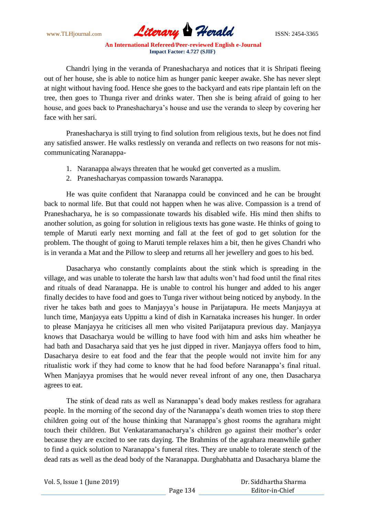www.TLHjournal.com *Literary Herald*ISSN: 2454-3365

Chandri lying in the veranda of Praneshacharya and notices that it is Shripati fleeing out of her house, she is able to notice him as hunger panic keeper awake. She has never slept at night without having food. Hence she goes to the backyard and eats ripe plantain left on the tree, then goes to Thunga river and drinks water. Then she is being afraid of going to her house, and goes back to Praneshacharya"s house and use the veranda to sleep by covering her face with her sari.

Praneshacharya is still trying to find solution from religious texts, but he does not find any satisfied answer. He walks restlessly on veranda and reflects on two reasons for not miscommunicating Naranappa-

- 1. Naranappa always threaten that he woukd get converted as a muslim.
- 2. Praneshacharyas compassion towards Naranappa.

He was quite confident that Naranappa could be convinced and he can be brought back to normal life. But that could not happen when he was alive. Compassion is a trend of Praneshacharya, he is so compassionate towards his disabled wife. His mind then shifts to another solution, as going for solution in religious texts has gone waste. He thinks of going to temple of Maruti early next morning and fall at the feet of god to get solution for the problem. The thought of going to Maruti temple relaxes him a bit, then he gives Chandri who is in veranda a Mat and the Pillow to sleep and returns all her jewellery and goes to his bed.

Dasacharya who constantly complaints about the stink which is spreading in the village, and was unable to tolerate the harsh law that adults won"t had food until the final rites and rituals of dead Naranappa. He is unable to control his hunger and added to his anger finally decides to have food and goes to Tunga river without being noticed by anybody. In the river he takes bath and goes to Manjayya"s house in Parijatapura. He meets Manjayya at lunch time, Manjayya eats Uppittu a kind of dish in Karnataka increases his hunger. In order to please Manjayya he criticises all men who visited Parijatapura previous day. Manjayya knows that Dasacharya would be willing to have food with him and asks him wheather he had bath and Dasacharya said that yes he just dipped in river. Manjayya offers food to him, Dasacharya desire to eat food and the fear that the people would not invite him for any ritualistic work if they had come to know that he had food before Naranappa"s final ritual. When Manjayya promises that he would never reveal infront of any one, then Dasacharya agrees to eat.

The stink of dead rats as well as Naranappa"s dead body makes restless for agrahara people. In the morning of the second day of the Naranappa"s death women tries to stop there children going out of the house thinking that Naranappa"s ghost rooms the agrahara might touch their children. But Venkataramanacharya"s children go against their mother"s order because they are excited to see rats daying. The Brahmins of the agrahara meanwhile gather to find a quick solution to Naranappa"s funeral rites. They are unable to tolerate stench of the dead rats as well as the dead body of the Naranappa. Durghabhatta and Dasacharya blame the